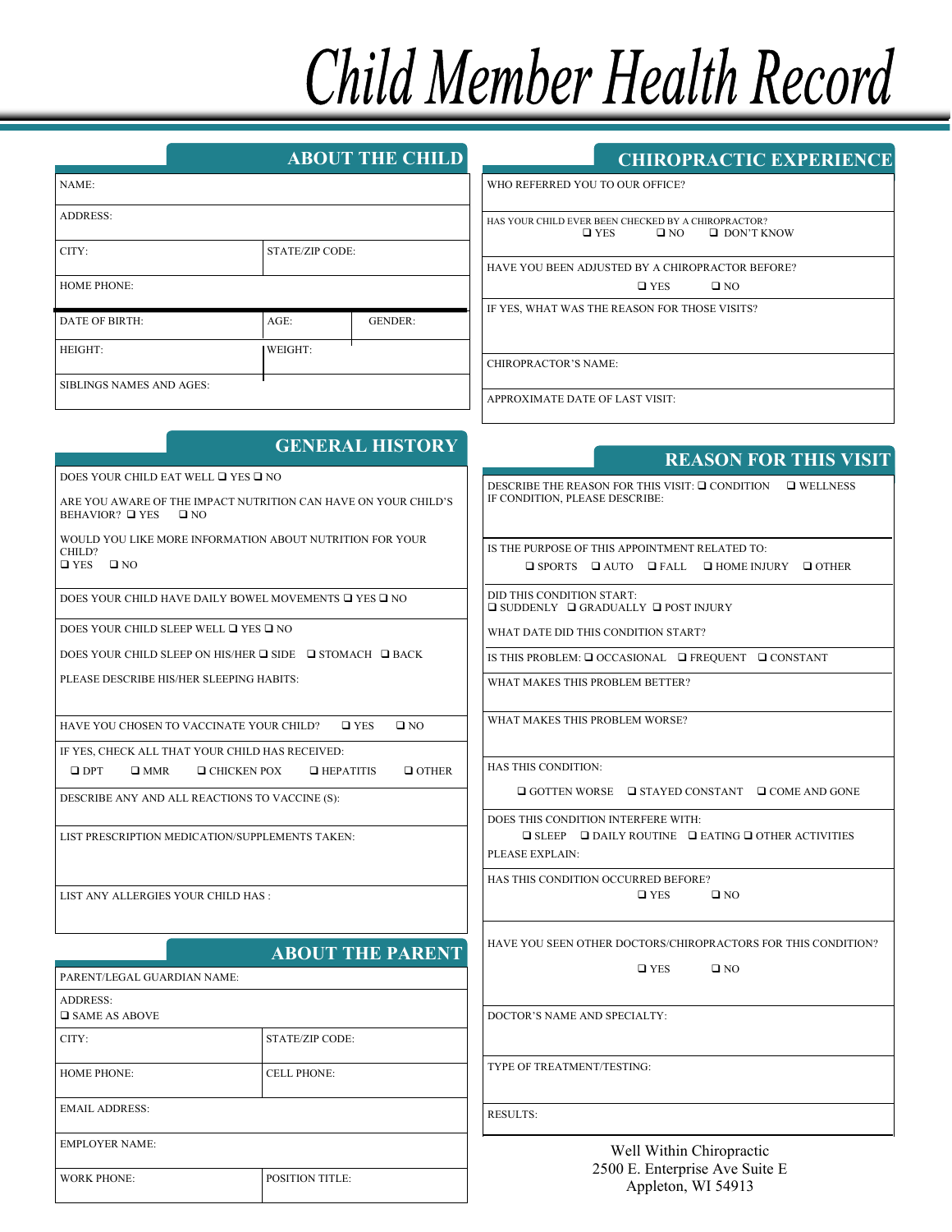# Child Member Health Record

| <b>ABOUT THE CHILD</b> |  |
|------------------------|--|
|                        |  |
|                        |  |

|                                 | <b>CHIROPRACTIC EXPERIENCE</b> |  |
|---------------------------------|--------------------------------|--|
| WHO REFERRED YOU TO OUR OFFICE? |                                |  |

 $\Box$  DON'T KNOW

| NAME:                           |                        |                |
|---------------------------------|------------------------|----------------|
| <b>ADDRESS:</b>                 |                        |                |
| CITY:                           | <b>STATE/ZIP CODE:</b> |                |
| <b>HOME PHONE:</b>              |                        |                |
| <b>DATE OF BIRTH:</b>           | $AGE$ :                | <b>GENDER:</b> |
| HEIGHT:                         | WEIGHT:                |                |
| <b>SIBLINGS NAMES AND AGES:</b> |                        |                |

## HAS YOUR CHILD EVER BEEN CHECKED BY A CHIROPRACTOR?<br> $\Box$  YES  $\Box$  NO  $\Box$  DON'T K

HAVE YOU BEEN ADJUSTED BY A CHIROPRACTOR BEFORE?

 $\Box$  YES  $\Box$  NO

IF YES, WHAT WAS THE REASON FOR THOSE VISITS?

CHIROPRACTOR'S NAME:

APPROXIMATE DATE OF LAST VISIT:

|                                                                                                                                         | <b>GENERAL HISTORY</b>                                                                                                                                                                  | <b>REASON FOR THIS VISIT</b>                                                                                                                                                                                                                                                                                                                                            |  |
|-----------------------------------------------------------------------------------------------------------------------------------------|-----------------------------------------------------------------------------------------------------------------------------------------------------------------------------------------|-------------------------------------------------------------------------------------------------------------------------------------------------------------------------------------------------------------------------------------------------------------------------------------------------------------------------------------------------------------------------|--|
| DOES YOUR CHILD EAT WELL □ YES □ NO                                                                                                     |                                                                                                                                                                                         |                                                                                                                                                                                                                                                                                                                                                                         |  |
| ARE YOU AWARE OF THE IMPACT NUTRITION CAN HAVE ON YOUR CHILD'S<br>BEHAVIOR? □ YES<br>$\square$ NO                                       |                                                                                                                                                                                         | DESCRIBE THE REASON FOR THIS VISIT: $\Box$ CONDITION $\Box$ WELLNESS<br>IF CONDITION. PLEASE DESCRIBE:                                                                                                                                                                                                                                                                  |  |
| CHILD?<br>$\square$ YES<br>$\square$ NO<br>DOES YOUR CHILD SLEEP WELL □ YES □ NO<br>PLEASE DESCRIBE HIS/HER SLEEPING HABITS:            | WOULD YOU LIKE MORE INFORMATION ABOUT NUTRITION FOR YOUR<br>DOES YOUR CHILD HAVE DAILY BOWEL MOVEMENTS $\Box$ YES $\Box$ NO<br>DOES YOUR CHILD SLEEP ON HIS/HER □ SIDE □ STOMACH □ BACK | IS THE PURPOSE OF THIS APPOINTMENT RELATED TO:<br>$\Box$ SPORTS $\Box$ AUTO $\Box$ FALL<br>$\Box$ HOME INJURY $\Box$ OTHER<br>DID THIS CONDITION START:<br>$\square$ SUDDENLY $\square$ GRADUALLY $\square$ POST INJURY<br>WHAT DATE DID THIS CONDITION START?<br>IS THIS PROBLEM: $\Box$ OCCASIONAL $\Box$ FREQUENT $\Box$ CONSTANT<br>WHAT MAKES THIS PROBLEM BETTER? |  |
| HAVE YOU CHOSEN TO VACCINATE YOUR CHILD?                                                                                                | $\Box$ YES<br>$\square$ NO                                                                                                                                                              | WHAT MAKES THIS PROBLEM WORSE?                                                                                                                                                                                                                                                                                                                                          |  |
| IF YES, CHECK ALL THAT YOUR CHILD HAS RECEIVED:<br>$\square$ DPT<br>$\square$ MMR                                                       | $\Box$ OTHER<br>$\Box$ CHICKEN POX<br>$\Box$ HEPATITIS                                                                                                                                  | HAS THIS CONDITION:                                                                                                                                                                                                                                                                                                                                                     |  |
| DESCRIBE ANY AND ALL REACTIONS TO VACCINE (S):<br>LIST PRESCRIPTION MEDICATION/SUPPLEMENTS TAKEN:<br>LIST ANY ALLERGIES YOUR CHILD HAS: |                                                                                                                                                                                         | $\Box$ GOTTEN WORSE $\Box$ STAYED CONSTANT $\Box$ COME AND GONE                                                                                                                                                                                                                                                                                                         |  |
|                                                                                                                                         |                                                                                                                                                                                         | DOES THIS CONDITION INTERFERE WITH:<br>$\Box$ SLEEP $\Box$ DAILY ROUTINE $\Box$ EATING $\Box$ OTHER ACTIVITIES<br>PLEASE EXPLAIN:<br>HAS THIS CONDITION OCCURRED BEFORE?<br>$\square$ YES<br>$\square$ NO                                                                                                                                                               |  |
|                                                                                                                                         |                                                                                                                                                                                         |                                                                                                                                                                                                                                                                                                                                                                         |  |
| <b>ADDRESS:</b><br><b>O</b> SAME AS ABOVE                                                                                               |                                                                                                                                                                                         | DOCTOR'S NAME AND SPECIALTY:                                                                                                                                                                                                                                                                                                                                            |  |
| CITY:                                                                                                                                   | <b>STATE/ZIP CODE:</b>                                                                                                                                                                  |                                                                                                                                                                                                                                                                                                                                                                         |  |
| <b>HOME PHONE:</b>                                                                                                                      | <b>CELL PHONE:</b>                                                                                                                                                                      | TYPE OF TREATMENT/TESTING:                                                                                                                                                                                                                                                                                                                                              |  |
| <b>EMAIL ADDRESS:</b>                                                                                                                   |                                                                                                                                                                                         | <b>RESULTS:</b>                                                                                                                                                                                                                                                                                                                                                         |  |
| <b>EMPLOYER NAME:</b>                                                                                                                   |                                                                                                                                                                                         | Well Within Chiropractic                                                                                                                                                                                                                                                                                                                                                |  |
| <b>WORK PHONE:</b>                                                                                                                      | POSITION TITLE:                                                                                                                                                                         | 2500 E. Enterprise Ave Suite E<br>Appleton, WI 54913                                                                                                                                                                                                                                                                                                                    |  |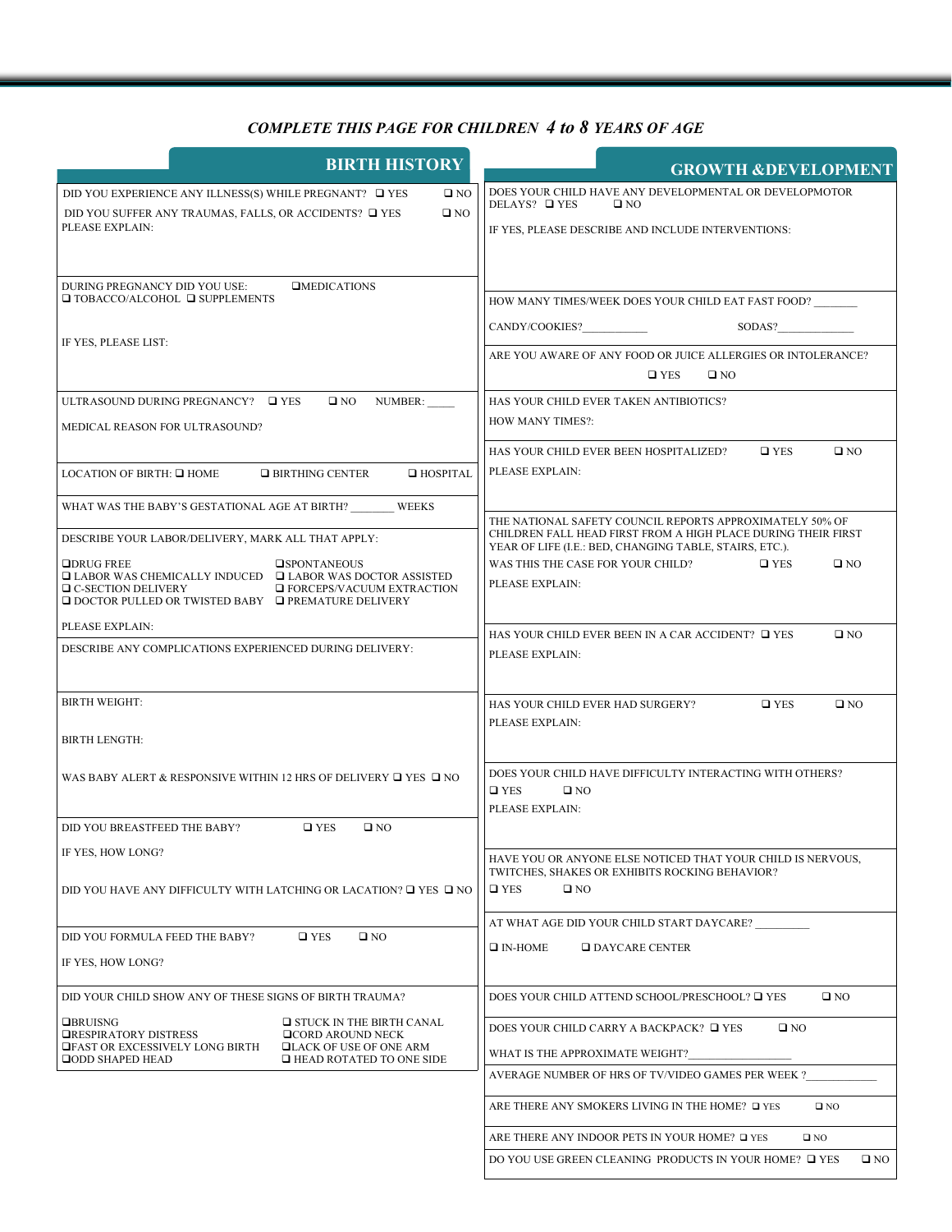#### *COMPLETE THIS PAGE FOR CHILDREN 4 to 8 YEARS OF AGE*

| <b>GROWTH &amp;DEVELOPMENT</b>                                                                                                                                                                                                                                                                                                                                                                |  |
|-----------------------------------------------------------------------------------------------------------------------------------------------------------------------------------------------------------------------------------------------------------------------------------------------------------------------------------------------------------------------------------------------|--|
| DOES YOUR CHILD HAVE ANY DEVELOPMENTAL OR DEVELOPMOTOR<br>DELAYS? $\Box$ YES<br>$\square$ NO<br>IF YES, PLEASE DESCRIBE AND INCLUDE INTERVENTIONS:                                                                                                                                                                                                                                            |  |
| HOW MANY TIMES/WEEK DOES YOUR CHILD EAT FAST FOOD?<br>SODAS?<br>ARE YOU AWARE OF ANY FOOD OR JUICE ALLERGIES OR INTOLERANCE?<br>$\square$ YES<br>$\square$ NO                                                                                                                                                                                                                                 |  |
| HAS YOUR CHILD EVER TAKEN ANTIBIOTICS?<br><b>HOW MANY TIMES?:</b><br>HAS YOUR CHILD EVER BEEN HOSPITALIZED?<br>$\square$ YES<br>$\square$ NO                                                                                                                                                                                                                                                  |  |
| PLEASE EXPLAIN:<br>THE NATIONAL SAFETY COUNCIL REPORTS APPROXIMATELY 50% OF<br>CHILDREN FALL HEAD FIRST FROM A HIGH PLACE DURING THEIR FIRST<br>YEAR OF LIFE (I.E.: BED, CHANGING TABLE, STAIRS, ETC.).<br>WAS THIS THE CASE FOR YOUR CHILD?<br>$\square$ YES<br>$\square$ NO<br>PLEASE EXPLAIN:<br>HAS YOUR CHILD EVER BEEN IN A CAR ACCIDENT? $\Box$ YES<br>$\square$ NO<br>PLEASE EXPLAIN: |  |
| HAS YOUR CHILD EVER HAD SURGERY?<br>$\square$ YES<br>$\square$ NO<br>PLEASE EXPLAIN:<br>DOES YOUR CHILD HAVE DIFFICULTY INTERACTING WITH OTHERS?<br>$\Box$ YES<br>$\square$ NO                                                                                                                                                                                                                |  |
| PLEASE EXPLAIN:<br>HAVE YOU OR ANYONE ELSE NOTICED THAT YOUR CHILD IS NERVOUS,<br>TWITCHES, SHAKES OR EXHIBITS ROCKING BEHAVIOR?<br>$\square$ YES<br>$\square$ NO                                                                                                                                                                                                                             |  |
| AT WHAT AGE DID YOUR CHILD START DAYCARE?<br>$\Box$ IN-HOME<br>$\Box$ DAYCARE CENTER                                                                                                                                                                                                                                                                                                          |  |
| DOES YOUR CHILD ATTEND SCHOOL/PRESCHOOL? □ YES<br>$\square$ NO<br>DOES YOUR CHILD CARRY A BACKPACK? $\Box$ YES<br>$\square$ NO<br>WHAT IS THE APPROXIMATE WEIGHT?<br>AVERAGE NUMBER OF HRS OF TV/VIDEO GAMES PER WEEK ?<br>ARE THERE ANY SMOKERS LIVING IN THE HOME? □ YES<br>$\square$ NO<br>ARE THERE ANY INDOOR PETS IN YOUR HOME? □ YES<br>$\square$ NO                                   |  |
|                                                                                                                                                                                                                                                                                                                                                                                               |  |